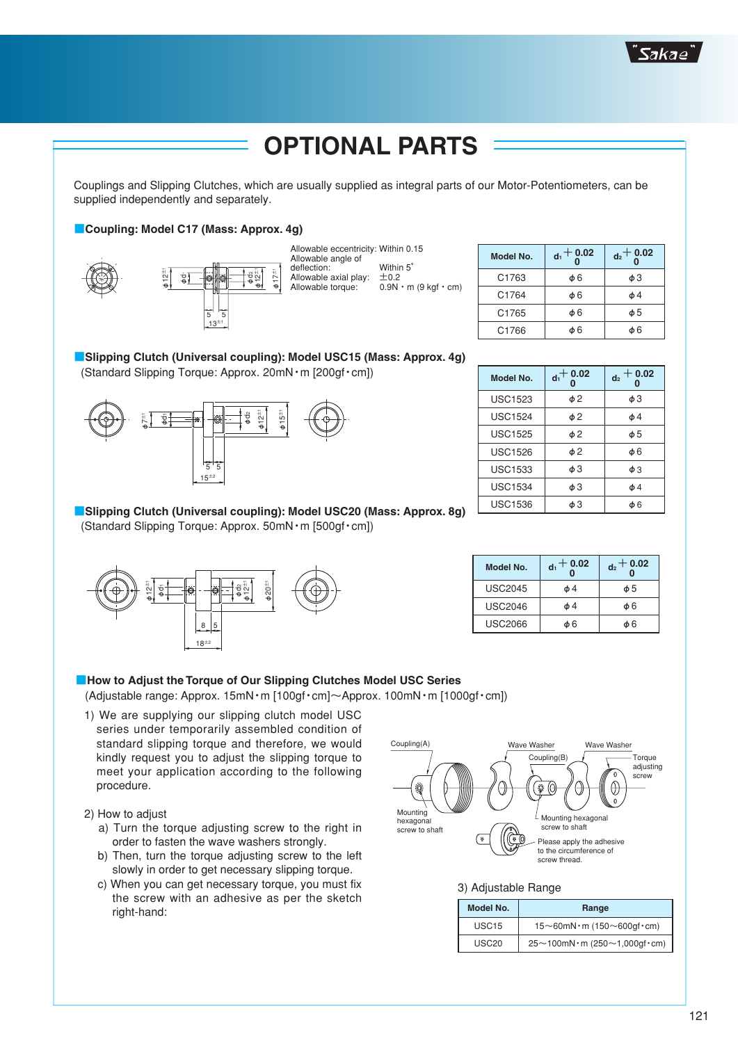

# **OPTIONAL PARTS**

 Couplings and Slipping Clutches, which are usually supplied as integral parts of our Motor-Potentiometers, can be supplied independently and separately.

### ■ **Coupling: Model C17 (Mass: Approx. 4g)**







| Model No. | $d_1 + 0.02$ | $d_2$ + 0.02 |
|-----------|--------------|--------------|
| C1763     | φ6           | φЗ           |
| C1764     | φ6           | φ4           |
| C1765     | φ6           | φ5           |
| C1766     | ტ 6          | ტ ჩ          |

| <b>Model No.</b> | $d_1$ + 0.02 | $-0.02$<br>d <sub>2</sub> |
|------------------|--------------|---------------------------|
| <b>USC1523</b>   | φ2           | φЗ                        |
| <b>USC1524</b>   | $\phi$ 2     | φ4                        |
| <b>USC1525</b>   | φ2           | φ5                        |
| <b>USC1526</b>   | φ2           | φ6                        |
| <b>USC1533</b>   | φЗ           | $\phi$ 3                  |
| <b>USC1534</b>   | φЗ           | φ4                        |
| <b>USC1536</b>   | φЗ           | Ф6                        |

| Model No.      | $d_1 + 0.02$ | $d_2 + 0.02$ |  |
|----------------|--------------|--------------|--|
| <b>USC2045</b> | φ4           | φ5           |  |
| <b>USC2046</b> | φ4           | <b>φ6</b>    |  |
| <b>USC2066</b> | s 6          | ሐ 6          |  |

# ■**Slipping Clutch (Universal coupling): Model USC15 (Mass: Approx. 4g)** (Standard Slipping Torque: Approx. 20mN・m [200gf・cm])



## ■ **Slipping Clutch (Universal coupling): Model USC20 (Mass: Approx. 8g)** (Standard Slipping Torque: Approx. 50mN・m [500gf・cm])



### ■**How to Adjust the Torque of Our Slipping Clutches Model USC Series**

(Adjustable range: Approx. 15mN・m [100gf・cm]〜Approx. 100mN・m [1000gf・cm])

- 1) We are supplying our slipping clutch model USC series under temporarily assembled condition of standard slipping torque and therefore, we would kindly request you to adjust the slipping torque to meet your application according to the following procedure.
- 2) How to adjust
	- a) Turn the torque adjusting screw to the right in order to fasten the wave washers strongly.
	- b) Then, turn the torque adjusting screw to the left slowly in order to get necessary slipping torque.
	- c) When you can get necessary torque, you must fix the screw with an adhesive as per the sketch right-hand:



## 3) Adjustable Range

| <b>Model No.</b>  | Range                                      |
|-------------------|--------------------------------------------|
| USC <sub>15</sub> | $15 \sim 60$ mN·m (150 $\sim$ 600gf·cm)    |
| USC <sub>20</sub> | $25 \sim 100$ mN·m (250 $\sim$ 1,000gf·cm) |